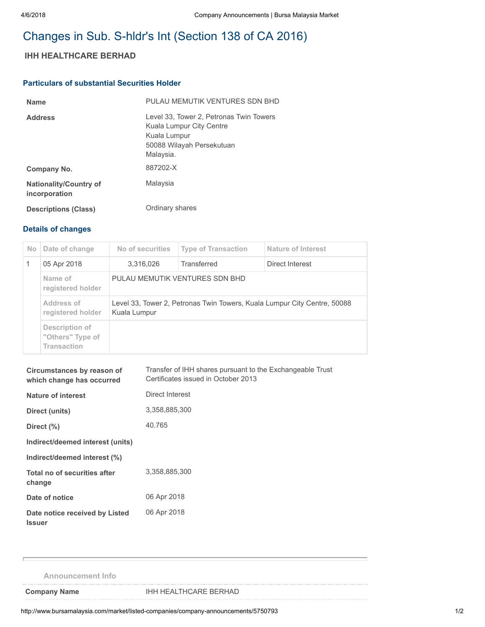## Changes in Sub. S-hldr's Int (Section 138 of CA 2016)

## IHH HEALTHCARE BERHAD

## Particulars of substantial Securities Holder

| <b>Name</b>                                    | PULAU MEMUTIK VENTURES SDN BHD                                                                                                |
|------------------------------------------------|-------------------------------------------------------------------------------------------------------------------------------|
| <b>Address</b>                                 | Level 33, Tower 2, Petronas Twin Towers<br>Kuala Lumpur City Centre<br>Kuala Lumpur<br>50088 Wilayah Persekutuan<br>Malaysia. |
| Company No.                                    | 887202-X                                                                                                                      |
| <b>Nationality/Country of</b><br>incorporation | Malaysia                                                                                                                      |
| <b>Descriptions (Class)</b>                    | Ordinary shares                                                                                                               |

## Details of changes

| N <sub>o</sub> | Date of change                                           | No of securities                                                                         | <b>Type of Transaction</b> | Nature of Interest |  |
|----------------|----------------------------------------------------------|------------------------------------------------------------------------------------------|----------------------------|--------------------|--|
|                | 05 Apr 2018                                              | 3,316,026                                                                                | Transferred                | Direct Interest    |  |
|                | Name of<br>registered holder                             | PULAU MEMUTIK VENTURES SDN BHD                                                           |                            |                    |  |
|                | Address of<br>registered holder                          | Level 33, Tower 2, Petronas Twin Towers, Kuala Lumpur City Centre, 50088<br>Kuala Lumpur |                            |                    |  |
|                | Description of<br>"Others" Type of<br><b>Transaction</b> |                                                                                          |                            |                    |  |

| Circumstances by reason of<br>which change has occurred | Transfer of IHH shares pursuant to the Exchangeable Trust<br>Certificates issued in October 2013 |  |  |
|---------------------------------------------------------|--------------------------------------------------------------------------------------------------|--|--|
| <b>Nature of interest</b>                               | Direct Interest                                                                                  |  |  |
| Direct (units)                                          | 3,358,885,300                                                                                    |  |  |
| Direct $(\%)$                                           | 40.765                                                                                           |  |  |
| Indirect/deemed interest (units)                        |                                                                                                  |  |  |
| Indirect/deemed interest (%)                            |                                                                                                  |  |  |
| Total no of securities after<br>change                  | 3.358.885.300                                                                                    |  |  |
| Date of notice                                          | 06 Apr 2018                                                                                      |  |  |
| Date notice received by Listed<br><b>Issuer</b>         | 06 Apr 2018                                                                                      |  |  |

Announcement Info

Company Name **IHH HEALTHCARE BERHAD**